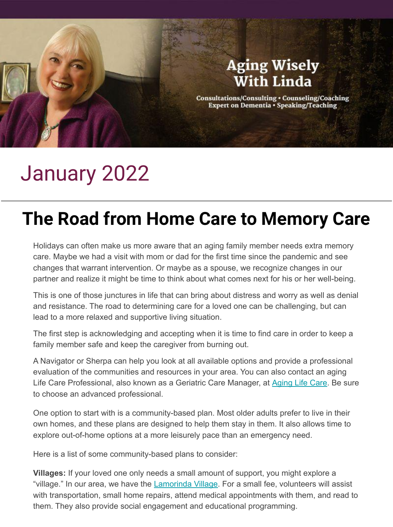## **Aging Wisely With Linda** Consultations/Consulting . Counseling/Coaching Expert on Dementia . Speaking/Teaching

## January 2022

## **The Road from Home Care to Memory Care**

Holidays can often make us more aware that an aging family member needs extra memory care. Maybe we had a visit with mom or dad for the first time since the pandemic and see changes that warrant intervention. Or maybe as a spouse, we recognize changes in our partner and realize it might be time to think about what comes next for his or her well-being.

This is one of those junctures in life that can bring about distress and worry as well as denial and resistance. The road to determining care for a loved one can be challenging, but can lead to a more relaxed and supportive living situation.

The first step is acknowledging and accepting when it is time to find care in order to keep a family member safe and keep the caregiver from burning out.

A Navigator or Sherpa can help you look at all available options and provide a professional evaluation of the communities and resources in your area. You can also contact an aging Life Care Professional, also known as a Geriatric Care Manager, at [Aging Life Care](https://www.aginglifecare.org/). Be sure to choose an advanced professional.

One option to start with is a community-based plan. Most older adults prefer to live in their own homes, and these plans are designed to help them stay in them. It also allows time to explore out-of-home options at a more leisurely pace than an emergency need.

Here is a list of some community-based plans to consider:

**Villages:** If your loved one only needs a small amount of support, you might explore a "village." In our area, we have the **Lamorinda Village**. For a small fee, volunteers will assist with transportation, small home repairs, attend medical appointments with them, and read to them. They also provide social engagement and educational programming.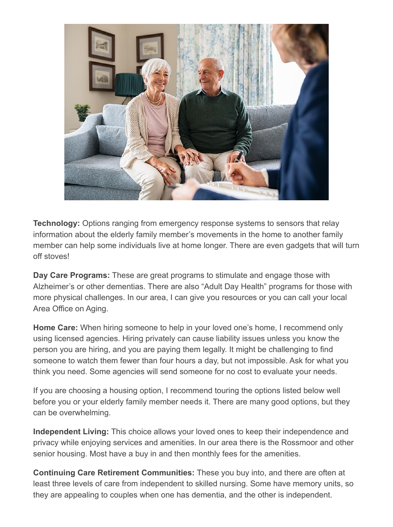

**Technology:** Options ranging from emergency response systems to sensors that relay information about the elderly family member's movements in the home to another family member can help some individuals live at home longer. There are even gadgets that will turn off stoves!

**Day Care Programs:** These are great programs to stimulate and engage those with Alzheimer's or other dementias. There are also "Adult Day Health" programs for those with more physical challenges. In our area, I can give you resources or you can call your local Area Office on Aging.

**Home Care:** When hiring someone to help in your loved one's home, I recommend only using licensed agencies. Hiring privately can cause liability issues unless you know the person you are hiring, and you are paying them legally. It might be challenging to find someone to watch them fewer than four hours a day, but not impossible. Ask for what you think you need. Some agencies will send someone for no cost to evaluate your needs.

If you are choosing a housing option, I recommend touring the options listed below well before you or your elderly family member needs it. There are many good options, but they can be overwhelming.

**Independent Living:** This choice allows your loved ones to keep their independence and privacy while enjoying services and amenities. In our area there is the Rossmoor and other senior housing. Most have a buy in and then monthly fees for the amenities.

**Continuing Care Retirement Communities:** These you buy into, and there are often at least three levels of care from independent to skilled nursing. Some have memory units, so they are appealing to couples when one has dementia, and the other is independent.